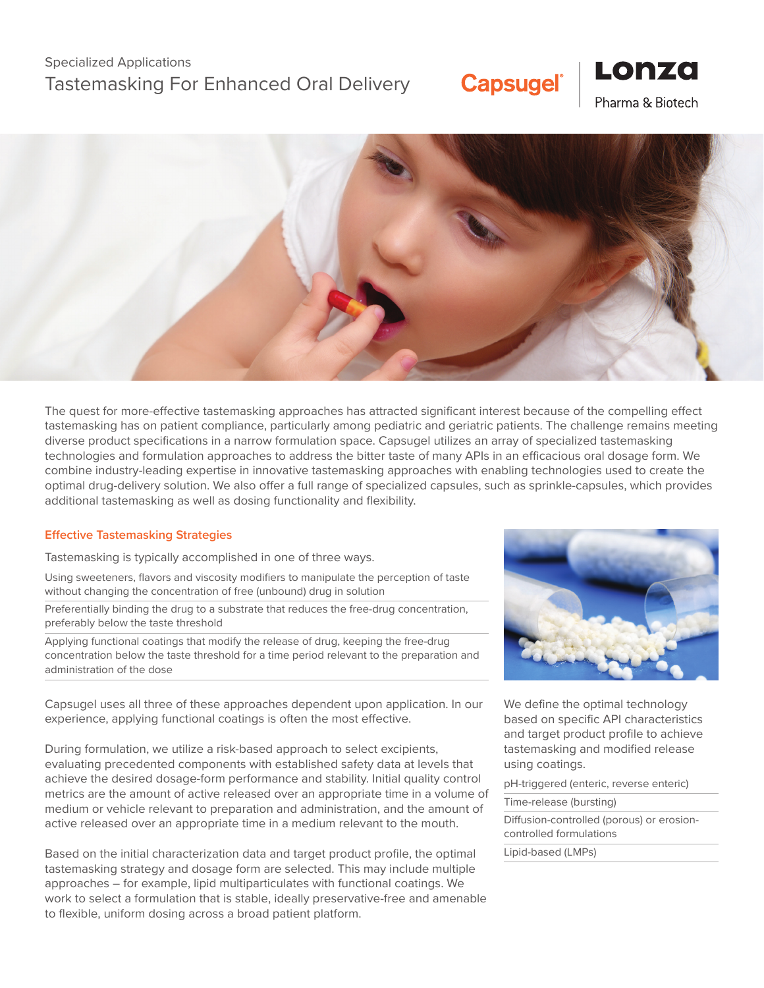# Specialized Applications Tastemasking For Enhanced Oral Delivery

## Lonza **Capsugel®**

Pharma & Biotech



The quest for more-effective tastemasking approaches has attracted significant interest because of the compelling effect tastemasking has on patient compliance, particularly among pediatric and geriatric patients. The challenge remains meeting diverse product specifications in a narrow formulation space. Capsugel utilizes an array of specialized tastemasking technologies and formulation approaches to address the bitter taste of many APIs in an efficacious oral dosage form. We combine industry-leading expertise in innovative tastemasking approaches with enabling technologies used to create the optimal drug-delivery solution. We also offer a full range of specialized capsules, such as sprinkle-capsules, which provides additional tastemasking as well as dosing functionality and flexibility.

#### **Effective Tastemasking Strategies**

Tastemasking is typically accomplished in one of three ways.

Using sweeteners, flavors and viscosity modifiers to manipulate the perception of taste without changing the concentration of free (unbound) drug in solution

Preferentially binding the drug to a substrate that reduces the free-drug concentration, preferably below the taste threshold

Applying functional coatings that modify the release of drug, keeping the free-drug concentration below the taste threshold for a time period relevant to the preparation and administration of the dose

Capsugel uses all three of these approaches dependent upon application. In our experience, applying functional coatings is often the most effective.

During formulation, we utilize a risk-based approach to select excipients, evaluating precedented components with established safety data at levels that achieve the desired dosage-form performance and stability. Initial quality control metrics are the amount of active released over an appropriate time in a volume of medium or vehicle relevant to preparation and administration, and the amount of active released over an appropriate time in a medium relevant to the mouth.

Based on the initial characterization data and target product profile, the optimal tastemasking strategy and dosage form are selected. This may include multiple approaches – for example, lipid multiparticulates with functional coatings. We work to select a formulation that is stable, ideally preservative-free and amenable to flexible, uniform dosing across a broad patient platform.



We define the optimal technology based on specific API characteristics and target product profile to achieve tastemasking and modified release using coatings.

pH-triggered (enteric, reverse enteric)

Time-release (bursting)

Diffusion-controlled (porous) or erosioncontrolled formulations

Lipid-based (LMPs)